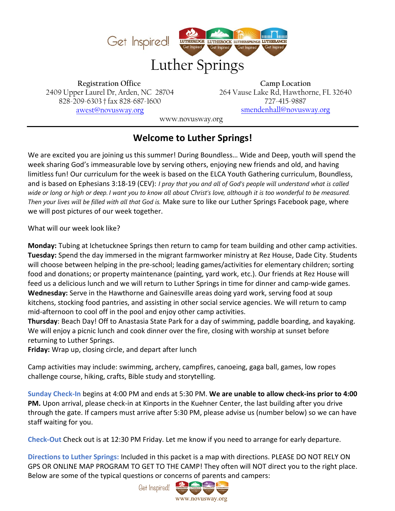

**Registration Office** 2409 Upper Laurel Dr, Arden, NC 28704 828-209-6303 † fax 828-687-1600 [awest@novusway.org](mailto:registration@novusway.com)

**Camp Location** 264 Vause Lake Rd, Hawthorne, FL 32640 727-415-9887 [smendenhall@novusway.org](mailto:smendenhall@novusway.org)

[www.novusway.org](http://www.novusway.com/) 

## **Welcome to Luther Springs!**

We are excited you are joining us this summer! During Boundless… Wide and Deep, youth will spend the week sharing God's immeasurable love by serving others, enjoying new friends and old, and having limitless fun! Our curriculum for the week is based on the ELCA Youth Gathering curriculum, Boundless, and is based on Ephesians 3:18-19 (CEV): *I pray that you and all of God's people will understand what is called wide or long or high or deep. I want you to know all about Christ's love, although it is too wonderful to be measured. Then your lives will be filled with all that God is.* Make sure to like our Luther Springs Facebook page, where we will post pictures of our week together.

What will our week look like?

**Monday:** Tubing at Ichetucknee Springs then return to camp for team building and other camp activities. **Tuesday:** Spend the day immersed in the migrant farmworker ministry at Rez House, Dade City. Students will choose between helping in the pre-school; leading games/activities for elementary children; sorting food and donations; or property maintenance (painting, yard work, etc.). Our friends at Rez House will feed us a delicious lunch and we will return to Luther Springs in time for dinner and camp-wide games. **Wednesday:** Serve in the Hawthorne and Gainesville areas doing yard work, serving food at soup kitchens, stocking food pantries, and assisting in other social service agencies. We will return to camp mid-afternoon to cool off in the pool and enjoy other camp activities.

**Thursday**: Beach Day! Off to Anastasia State Park for a day of swimming, paddle boarding, and kayaking. We will enjoy a picnic lunch and cook dinner over the fire, closing with worship at sunset before returning to Luther Springs.

**Friday:** Wrap up, closing circle, and depart after lunch

Camp activities may include: swimming, archery, campfires, canoeing, gaga ball, games, low ropes challenge course, hiking, crafts, Bible study and storytelling.

**Sunday Check-In** begins at 4:00 PM and ends at 5:30 PM. **We are unable to allow check-ins prior to 4:00 PM.** Upon arrival, please check-in at Kinports in the Kuehner Center, the last building after you drive through the gate. If campers must arrive after 5:30 PM, please advise us (number below) so we can have staff waiting for you.

**Check-Out** Check out is at 12:30 PM Friday. Let me know if you need to arrange for early departure.

**Directions to Luther Springs:** Included in this packet is a map with directions. PLEASE DO NOT RELY ON GPS OR ONLINE MAP PROGRAM TO GET TO THE CAMP! They often will NOT direct you to the right place. Below are some of the typical questions or concerns of parents and campers: